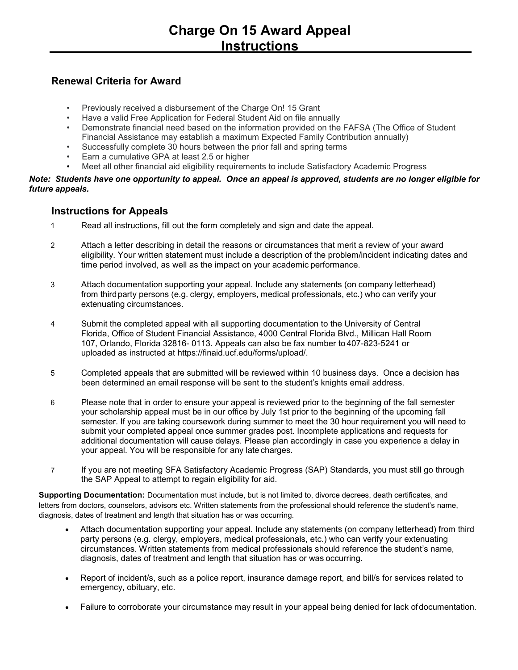## **Renewal Criteria for Award**

- Previously received a disbursement of the Charge On! 15 Grant
- Have a valid Free Application for Federal Student Aid on file annually
- Demonstrate financial need based on the information provided on the FAFSA (The Office of Student Financial Assistance may establish a maximum Expected Family Contribution annually)
- Successfully complete 30 hours between the prior fall and spring terms
- Earn a cumulative GPA at least 2.5 or higher
- Meet all other financial aid eligibility requirements to include Satisfactory Academic Progress

## *Note: Students have one opportunity to appeal. Once an appeal is approved, students are no longer eligible for future appeals.*

## **Instructions for Appeals**

- 1 Read all instructions, fill out the form completely and sign and date the appeal.
- 2 Attach a letter describing in detail the reasons or circumstances that merit a review of your award eligibility. Your written statement must include a description of the problem/incident indicating dates and time period involved, as well as the impact on your academic performance.
- 3 Attach documentation supporting your appeal. Include any statements (on company letterhead) from thirdparty persons (e.g. clergy, employers, medical professionals, etc.) who can verify your extenuating circumstances.
- 4 Submit the completed appeal with all supporting documentation to the University of Central Florida, Office of Student Financial Assistance, 4000 Central Florida Blvd., Millican Hall Room 107, Orlando, Florida 32816- 0113. Appeals can also be fax number to 407-823-5241 or uploaded as instructed at https://finaid.ucf.edu/forms/upload/.
- 5 Completed appeals that are submitted will be reviewed within 10 business days. Once a decision has been determined an email response will be sent to the student's knights email address.
- 6 Please note that in order to ensure your appeal is reviewed prior to the beginning of the fall semester your scholarship appeal must be in our office by July 1st prior to the beginning of the upcoming fall semester. If you are taking coursework during summer to meet the 30 hour requirement you will need to submit your completed appeal once summer grades post. Incomplete applications and requests for additional documentation will cause delays. Please plan accordingly in case you experience a delay in your appeal. You will be responsible for any late charges.
- 7 If you are not meeting SFA Satisfactory Academic Progress (SAP) Standards, you must still go through the SAP Appeal to attempt to regain eligibility for aid.

**Supporting Documentation:** Documentation must include, but is not limited to, divorce decrees, death certificates, and letters from doctors, counselors, advisors etc. Written statements from the professional should reference the student's name, diagnosis, dates of treatment and length that situation has or was occurring.

- Attach documentation supporting your appeal. Include any statements (on company letterhead) from third party persons (e.g. clergy, employers, medical professionals, etc.) who can verify your extenuating circumstances. Written statements from medical professionals should reference the student's name, diagnosis, dates of treatment and length that situation has or was occurring.
- Report of incident/s, such as a police report, insurance damage report, and bill/s for services related to emergency, obituary, etc.
- Failure to corroborate your circumstance may result in your appeal being denied for lack ofdocumentation.